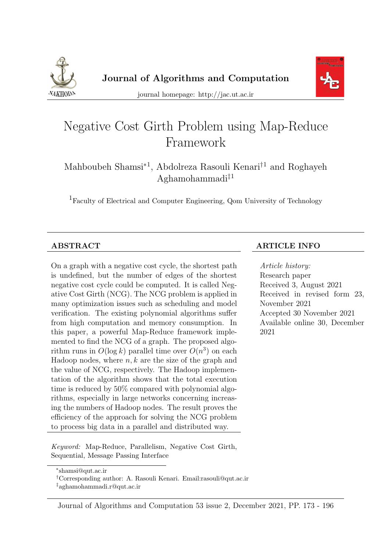



journal homepage: http://jac.ut.ac.ir

# Negative Cost Girth Problem using Map-Reduce Framework

Mahboubeh Shamsi<sup>\*1</sup>, Abdolreza Rasouli Kenari<sup>†1</sup> and Roghayeh Aghamohammadi‡<sup>1</sup>

<sup>1</sup>Faculty of Electrical and Computer Engineering, Qom University of Technology

On a graph with a negative cost cycle, the shortest path is undefined, but the number of edges of the shortest negative cost cycle could be computed. It is called Negative Cost Girth (NCG). The NCG problem is applied in many optimization issues such as scheduling and model verification. The existing polynomial algorithms suffer from high computation and memory consumption. In this paper, a powerful Map-Reduce framework implemented to find the NCG of a graph. The proposed algorithm runs in  $O(\log k)$  parallel time over  $O(n^3)$  on each Hadoop nodes, where  $n, k$  are the size of the graph and the value of NCG, respectively. The Hadoop implementation of the algorithm shows that the total execution time is reduced by 50% compared with polynomial algorithms, especially in large networks concerning increasing the numbers of Hadoop nodes. The result proves the efficiency of the approach for solving the NCG problem to process big data in a parallel and distributed way.

Keyword: Map-Reduce, Parallelism, Negative Cost Girth, Sequential, Message Passing Interface

#### Journal of Algorithms and Computation 53 issue 2, December 2021, PP. 173 - 196

#### ABSTRACT ARTICLE INFO

Article history: Research paper Received 3, August 2021 Received in revised form 23, November 2021 Accepted 30 November 2021 Available online 30, December 2021

<sup>∗</sup> shamsi@qut.ac.ir

<sup>†</sup>Corresponding author: A. Rasouli Kenari. Email:rasouli@qut.ac.ir

<sup>‡</sup>aghamohammadi.r@qut.ac.ir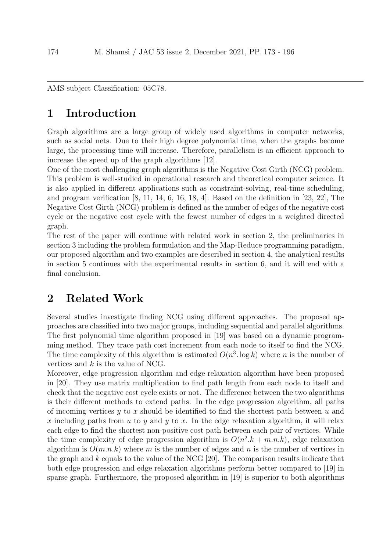AMS subject Classification: 05C78.

## 1 Introduction

Graph algorithms are a large group of widely used algorithms in computer networks, such as social nets. Due to their high degree polynomial time, when the graphs become large, the processing time will increase. Therefore, parallelism is an efficient approach to increase the speed up of the graph algorithms [12].

One of the most challenging graph algorithms is the Negative Cost Girth (NCG) problem. This problem is well-studied in operational research and theoretical computer science. It is also applied in different applications such as constraint-solving, real-time scheduling, and program verification  $[8, 11, 14, 6, 16, 18, 4]$ . Based on the definition in  $[23, 22]$ , The Negative Cost Girth (NCG) problem is defined as the number of edges of the negative cost cycle or the negative cost cycle with the fewest number of edges in a weighted directed graph.

The rest of the paper will continue with related work in section 2, the preliminaries in section 3 including the problem formulation and the Map-Reduce programming paradigm, our proposed algorithm and two examples are described in section 4, the analytical results in section 5 continues with the experimental results in section 6, and it will end with a final conclusion.

## 2 Related Work

Several studies investigate finding NCG using different approaches. The proposed approaches are classified into two major groups, including sequential and parallel algorithms. The first polynomial time algorithm proposed in [19] was based on a dynamic programming method. They trace path cost increment from each node to itself to find the NCG. The time complexity of this algorithm is estimated  $O(n^3 \log k)$  where *n* is the number of vertices and  $k$  is the value of NCG.

Moreover, edge progression algorithm and edge relaxation algorithm have been proposed in [20]. They use matrix multiplication to find path length from each node to itself and check that the negative cost cycle exists or not. The difference between the two algorithms is their different methods to extend paths. In the edge progression algorithm, all paths of incoming vertices  $y$  to x should be identified to find the shortest path between u and x including paths from u to y and y to x. In the edge relaxation algorithm, it will relax each edge to find the shortest non-positive cost path between each pair of vertices. While the time complexity of edge progression algorithm is  $O(n^2 \cdot k + m \cdot n \cdot k)$ , edge relaxation algorithm is  $O(m.n.k)$  where m is the number of edges and n is the number of vertices in the graph and  $k$  equals to the value of the NCG [20]. The comparison results indicate that both edge progression and edge relaxation algorithms perform better compared to [19] in sparse graph. Furthermore, the proposed algorithm in [19] is superior to both algorithms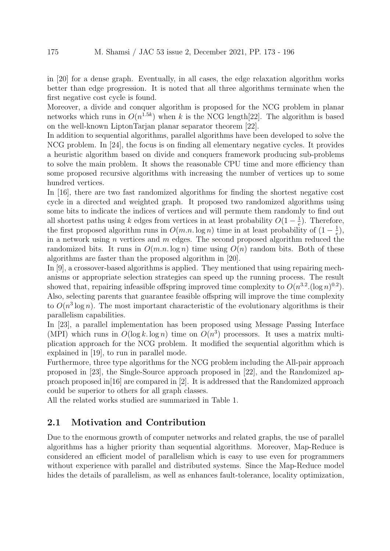in [20] for a dense graph. Eventually, in all cases, the edge relaxation algorithm works better than edge progression. It is noted that all three algorithms terminate when the first negative cost cycle is found.

Moreover, a divide and conquer algorithm is proposed for the NCG problem in planar networks which runs in  $O(n^{1.5k})$  when k is the NCG length[22]. The algorithm is based on the well-known LiptonTarjan planar separator theorem [22].

In addition to sequential algorithms, parallel algorithms have been developed to solve the NCG problem. In [24], the focus is on finding all elementary negative cycles. It provides a heuristic algorithm based on divide and conquers framework producing sub-problems to solve the main problem. It shows the reasonable CPU time and more efficiency than some proposed recursive algorithms with increasing the number of vertices up to some hundred vertices.

In [16], there are two fast randomized algorithms for finding the shortest negative cost cycle in a directed and weighted graph. It proposed two randomized algorithms using some bits to indicate the indices of vertices and will permute them randomly to find out all shortest paths using k edges from vertices in at least probability  $O(1-\frac{1}{e})$  $\frac{1}{e}$ ). Therefore, the first proposed algorithm runs in  $O(m.n.\log n)$  time in at least probability of  $(1-\frac{1}{e})$  $(\frac{1}{e}),$ in a network using n vertices and  $m$  edges. The second proposed algorithm reduced the randomized bits. It runs in  $O(m.n.\log n)$  time using  $O(n)$  random bits. Both of these algorithms are faster than the proposed algorithm in [20].

In [9], a crossover-based algorithms is applied. They mentioned that using repairing mechanisms or appropriate selection strategies can speed up the running process. The result showed that, repairing infeasible offspring improved time complexity to  $O(n^{3.2} \cdot (\log n)^{0.2})$ . Also, selecting parents that guarantee feasible offspring will improve the time complexity to  $O(n^3 \log n)$ . The most important characteristic of the evolutionary algorithms is their parallelism capabilities.

In [23], a parallel implementation has been proposed using Message Passing Interface (MPI) which runs in  $O(\log k \log n)$  time on  $O(n^3)$  processors. It uses a matrix multiplication approach for the NCG problem. It modified the sequential algorithm which is explained in [19], to run in parallel mode.

Furthermore, three type algorithms for the NCG problem including the All-pair approach proposed in [23], the Single-Source approach proposed in [22], and the Randomized approach proposed in [16] are compared in [2]. It is addressed that the Randomized approach could be superior to others for all graph classes.

All the related works studied are summarized in Table 1.

#### 2.1 Motivation and Contribution

Due to the enormous growth of computer networks and related graphs, the use of parallel algorithms has a higher priority than sequential algorithms. Moreover, Map-Reduce is considered an efficient model of parallelism which is easy to use even for programmers without experience with parallel and distributed systems. Since the Map-Reduce model hides the details of parallelism, as well as enhances fault-tolerance, locality optimization,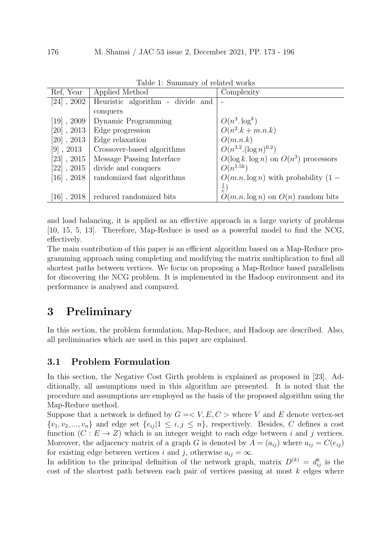|                            | таріс т. ранніцагу от гената метно |                                            |
|----------------------------|------------------------------------|--------------------------------------------|
| Ref. Year                  | Applied Method                     | Complexity                                 |
| $[24]$ , 2002              | Heuristic algorithm - divide and   |                                            |
|                            | conquers                           |                                            |
| $[19]$ , 2009              | <b>Dynamic Programming</b>         | $O(n^3.\log^k)$                            |
| $[20]$ , 2013              | Edge progression                   | $O(n^2.k + m.n.k)$                         |
| $[20]$ , 2013              | Edge relaxation                    | O(m.n.k)                                   |
| $[9]$ , 2013               | Crossover-based algorithms         | $O(n^{3.2} \cdot (\log n)^{0.2})$          |
| $[23]$ , $2015$            | Message Passing Interface          | $O(\log k. \log n)$ on $O(n^3)$ processors |
| $[22]$ , $2015$            | divide and conquers                | $O(n^{1.5k})$                              |
| $[16]$ , 2018              | randomized fast algorithms         | $O(m.n.\log n)$ with probability $(1 -$    |
|                            |                                    | $(\frac{1}{e})$                            |
| , 2018<br>$\vert 16 \vert$ | reduced randomized bits            | $O(m.n.\log n)$ on $O(n)$ random bits      |

Table 1: Summary of related works

and load balancing, it is applied as an effective approach in a large variety of problems [10, 15, 5, 13]. Therefore, Map-Reduce is used as a powerful model to find the NCG, effectively.

The main contribution of this paper is an efficient algorithm based on a Map-Reduce programming approach using completing and modifying the matrix multiplication to find all shortest paths between vertices. We focus on proposing a Map-Reduce based parallelism for discovering the NCG problem. It is implemented in the Hadoop environment and its performance is analysed and compared.

## 3 Preliminary

In this section, the problem formulation, Map-Reduce, and Hadoop are described. Also, all preliminaries which are used in this paper are explained.

### 3.1 Problem Formulation

In this section, the Negative Cost Girth problem is explained as proposed in [23]. Additionally, all assumptions used in this algorithm are presented. It is noted that the procedure and assumptions are employed as the basis of the proposed algorithm using the Map-Reduce method.

Suppose that a network is defined by  $G = \langle V, E, C \rangle$  where V and E denote vertex-set  $\{v_1, v_2, ..., v_n\}$  and edge set  $\{e_{ij} | 1 \leq i, j \leq n\}$ , respectively. Besides, C defines a cost function  $(C : E \to Z)$  which is an integer weight to each edge between i and j vertices. Moreover, the adjacency matrix of a graph G is denoted by  $A = (a_{ij})$  where  $a_{ij} = C(e_{ij})$ for existing edge between vertices i and j, otherwise  $a_{ij} = \infty$ .

In addition to the principal definition of the network graph, matrix  $D^{(k)} = d_{ij}^k$  is the cost of the shortest path between each pair of vertices passing at most  $k$  edges where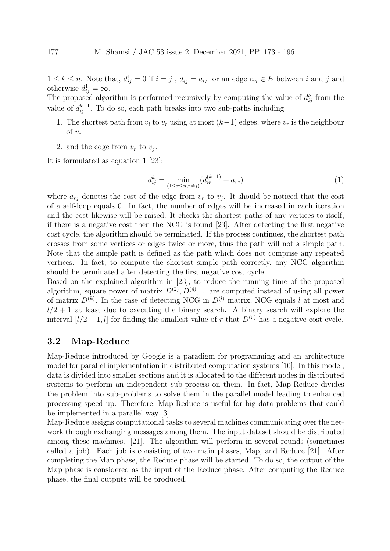$1 \leq k \leq n$ . Note that,  $d_{ij}^1 = 0$  if  $i = j$ ,  $d_{ij}^1 = a_{ij}$  for an edge  $e_{ij} \in E$  between i and j and otherwise  $d_{ij}^1 = \infty$ .

The proposed algorithm is performed recursively by computing the value of  $d_{ij}^k$  from the value of  $d_{ij}^{k-1}$ . To do so, each path breaks into two sub-paths including

- 1. The shortest path from  $v_i$  to  $v_r$  using at most  $(k-1)$  edges, where  $v_r$  is the neighbour of  $v_i$
- 2. and the edge from  $v_r$  to  $v_j$ .

It is formulated as equation 1 [23]:

$$
d_{ij}^k = \min_{(1 \le r \le n, r \ne j)} (d_{ir}^{(k-1)} + a_{rj})
$$
\n(1)

where  $a_{rj}$  denotes the cost of the edge from  $v_r$  to  $v_j$ . It should be noticed that the cost of a self-loop equals 0. In fact, the number of edges will be increased in each iteration and the cost likewise will be raised. It checks the shortest paths of any vertices to itself, if there is a negative cost then the NCG is found [23]. After detecting the first negative cost cycle, the algorithm should be terminated. If the process continues, the shortest path crosses from some vertices or edges twice or more, thus the path will not a simple path. Note that the simple path is defined as the path which does not comprise any repeated vertices. In fact, to compute the shortest simple path correctly, any NCG algorithm should be terminated after detecting the first negative cost cycle.

Based on the explained algorithm in [23], to reduce the running time of the proposed algorithm, square power of matrix  $D^{(2)}$ ,  $D^{(4)}$ , ... are computed instead of using all power of matrix  $D^{(k)}$ . In the case of detecting NCG in  $D^{(l)}$  matrix, NCG equals l at most and  $l/2 + 1$  at least due to executing the binary search. A binary search will explore the interval  $[l/2+1, l]$  for finding the smallest value of r that  $D^{(r)}$  has a negative cost cycle.

#### 3.2 Map-Reduce

Map-Reduce introduced by Google is a paradigm for programming and an architecture model for parallel implementation in distributed computation systems [10]. In this model, data is divided into smaller sections and it is allocated to the different nodes in distributed systems to perform an independent sub-process on them. In fact, Map-Reduce divides the problem into sub-problems to solve them in the parallel model leading to enhanced processing speed up. Therefore, Map-Reduce is useful for big data problems that could be implemented in a parallel way [3].

Map-Reduce assigns computational tasks to several machines communicating over the network through exchanging messages among them. The input dataset should be distributed among these machines. [21]. The algorithm will perform in several rounds (sometimes called a job). Each job is consisting of two main phases, Map, and Reduce [21]. After completing the Map phase, the Reduce phase will be started. To do so, the output of the Map phase is considered as the input of the Reduce phase. After computing the Reduce phase, the final outputs will be produced.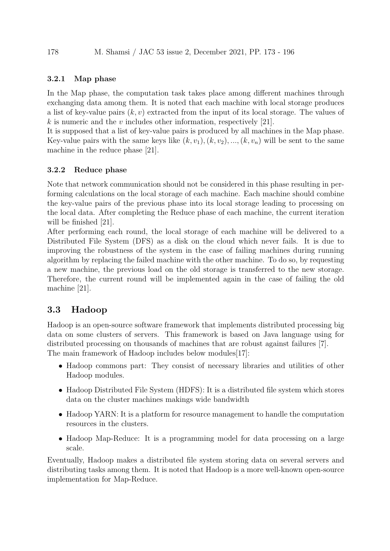#### 3.2.1 Map phase

In the Map phase, the computation task takes place among different machines through exchanging data among them. It is noted that each machine with local storage produces a list of key-value pairs  $(k, v)$  extracted from the input of its local storage. The values of k is numeric and the v includes other information, respectively [21].

It is supposed that a list of key-value pairs is produced by all machines in the Map phase. Key-value pairs with the same keys like  $(k, v_1), (k, v_2), ..., (k, v_n)$  will be sent to the same machine in the reduce phase [21].

#### 3.2.2 Reduce phase

Note that network communication should not be considered in this phase resulting in performing calculations on the local storage of each machine. Each machine should combine the key-value pairs of the previous phase into its local storage leading to processing on the local data. After completing the Reduce phase of each machine, the current iteration will be finished [21].

After performing each round, the local storage of each machine will be delivered to a Distributed File System (DFS) as a disk on the cloud which never fails. It is due to improving the robustness of the system in the case of failing machines during running algorithm by replacing the failed machine with the other machine. To do so, by requesting a new machine, the previous load on the old storage is transferred to the new storage. Therefore, the current round will be implemented again in the case of failing the old machine [21].

## 3.3 Hadoop

Hadoop is an open-source software framework that implements distributed processing big data on some clusters of servers. This framework is based on Java language using for distributed processing on thousands of machines that are robust against failures [7]. The main framework of Hadoop includes below modules[17]:

- Hadoop commons part: They consist of necessary libraries and utilities of other Hadoop modules.
- Hadoop Distributed File System (HDFS): It is a distributed file system which stores data on the cluster machines makings wide bandwidth
- Hadoop YARN: It is a platform for resource management to handle the computation resources in the clusters.
- Hadoop Map-Reduce: It is a programming model for data processing on a large scale.

Eventually, Hadoop makes a distributed file system storing data on several servers and distributing tasks among them. It is noted that Hadoop is a more well-known open-source implementation for Map-Reduce.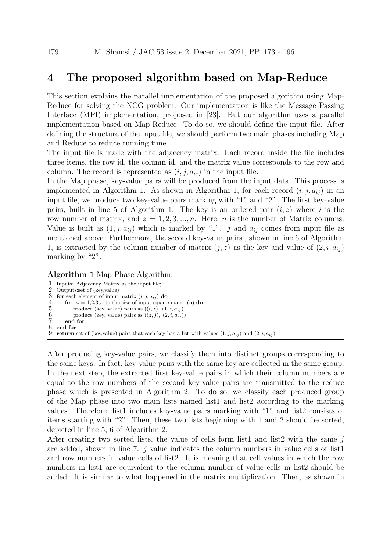## 4 The proposed algorithm based on Map-Reduce

This section explains the parallel implementation of the proposed algorithm using Map-Reduce for solving the NCG problem. Our implementation is like the Message Passing Interface (MPI) implementation, proposed in [23]. But our algorithm uses a parallel implementation based on Map-Reduce. To do so, we should define the input file. After defining the structure of the input file, we should perform two main phases including Map and Reduce to reduce running time.

The input file is made with the adjacency matrix. Each record inside the file includes three items, the row id, the column id, and the matrix value corresponds to the row and column. The record is represented as  $(i, j, a_{ij})$  in the input file.

In the Map phase, key-value pairs will be produced from the input data. This process is implemented in Algorithm 1. As shown in Algorithm 1, for each record  $(i, j, a_{ij})$  in an input file, we produce two key-value pairs marking with "1" and "2". The first key-value pairs, built in line 5 of Algorithm 1. The key is an ordered pair  $(i, z)$  where i is the row number of matrix, and  $z = 1, 2, 3, ..., n$ . Here, *n* is the number of Matrix columns. Value is built as  $(1, j, a_{ij})$  which is marked by "1". j and  $a_{ij}$  comes from input file as mentioned above. Furthermore, the second key-value pairs , shown in line 6 of Algorithm 1, is extracted by the column number of matrix  $(j, z)$  as the key and value of  $(2, i, a_{ij})$ marking by "2".

Algorithm 1 Map Phase Algorithm.

1: Inputs: Adjacency Matrix as the input file; 2: Outputs:set of (key,value) 3: for each element of input matrix  $(i, j, a_{ij})$  do<br>4: for  $z = 1,2,3, ...$  to the size of input square 4: **for**  $z = 1,2,3,..$  to the size of input square matrix(n) **do** 5: produce (key, value) pairs as  $((i, z), (1, i, a_{ii}))$ 5: produce (key, value) pairs as  $((i, z), (1, j, a_{ij}))$ <br>6: produce (key, value) pairs as  $((z, j), (2, i, a_{ij}))$ 6: produce (key, value) pairs as  $((z, j), (2, i, a_{ij}))$ <br>7: **end for** end for 8: end for 9: return set of (key, value) pairs that each key has a list with values  $(1, j, a_{ij})$  and  $(2, i, a_{ij})$ 

After producing key-value pairs, we classify them into distinct groups corresponding to the same keys. In fact, key-value pairs with the same key are collected in the same group. In the next step, the extracted first key-value pairs in which their column numbers are equal to the row numbers of the second key-value pairs are transmitted to the reduce phase which is presented in Algorithm 2. To do so, we classify each produced group of the Map phase into two main lists named list1 and list2 according to the marking values. Therefore, list1 includes key-value pairs marking with "1" and list2 consists of items starting with "2". Then, these two lists beginning with 1 and 2 should be sorted, depicted in line 5, 6 of Algorithm 2.

After creating two sorted lists, the value of cells form list1 and list2 with the same  $j$ are added, shown in line 7.  $i$  value indicates the column numbers in value cells of list1 and row numbers in value cells of list2. It is meaning that cell values in which the row numbers in list1 are equivalent to the column number of value cells in list2 should be added. It is similar to what happened in the matrix multiplication. Then, as shown in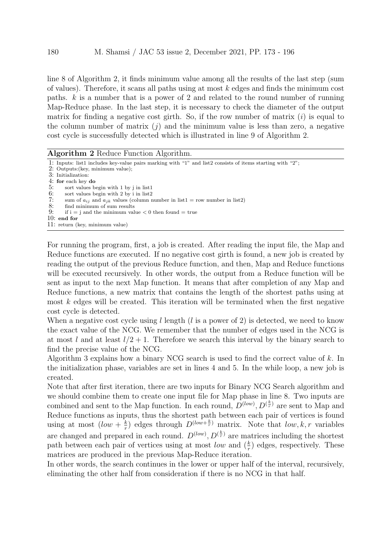line 8 of Algorithm 2, it finds minimum value among all the results of the last step (sum of values). Therefore, it scans all paths using at most k edges and finds the minimum cost paths.  $k$  is a number that is a power of 2 and related to the round number of running Map-Reduce phase. In the last step, it is necessary to check the diameter of the output matrix for finding a negative cost girth. So, if the row number of matrix  $(i)$  is equal to the column number of matrix  $(i)$  and the minimum value is less than zero, a negative cost cycle is successfully detected which is illustrated in line 9 of Algorithm 2.

| <b>Algorithm 2</b> Reduce Function Algorithm.                                                                                                                                                                                                                                                                                                               |  |
|-------------------------------------------------------------------------------------------------------------------------------------------------------------------------------------------------------------------------------------------------------------------------------------------------------------------------------------------------------------|--|
| 1: Inputs: list1 includes key-value pairs marking with "1" and list2 consists of items starting with "2";<br>2: Outputs: (key, minimum value);<br>3: Initialization:<br>4: for each key $\bf{do}$                                                                                                                                                           |  |
| 5:<br>sort values begin with 1 by j in list1<br>6:<br>sort values begin with 2 by i in list2<br>7:<br>sum of $a_{ij}$ and $a_{jk}$ values (column number in list1 = row number in list2)<br>8:<br>find minimum of sum results<br>9:<br>if $i = j$ and the minimum value $\lt 0$ then found $\lt 1$ true<br>$10:$ end for<br>11: return (key, minimum value) |  |
|                                                                                                                                                                                                                                                                                                                                                             |  |

For running the program, first, a job is created. After reading the input file, the Map and Reduce functions are executed. If no negative cost girth is found, a new job is created by reading the output of the previous Reduce function, and then, Map and Reduce functions will be executed recursively. In other words, the output from a Reduce function will be sent as input to the next Map function. It means that after completion of any Map and Reduce functions, a new matrix that contains the length of the shortest paths using at most  $k$  edges will be created. This iteration will be terminated when the first negative cost cycle is detected.

When a negative cost cycle using  $l$  length  $(l$  is a power of 2) is detected, we need to know the exact value of the NCG. We remember that the number of edges used in the NCG is at most l and at least  $l/2 + 1$ . Therefore we search this interval by the binary search to find the precise value of the NCG.

Algorithm 3 explains how a binary NCG search is used to find the correct value of k. In the initialization phase, variables are set in lines 4 and 5. In the while loop, a new job is created.

Note that after first iteration, there are two inputs for Binary NCG Search algorithm and we should combine them to create one input file for Map phase in line 8. Two inputs are combined and sent to the Map function. In each round,  $D^{(low)}$ ,  $D^{(\frac{k}{r})}$  are sent to Map and Reduce functions as inputs, thus the shortest path between each pair of vertices is found using at most  $(low + \frac{k}{r})$  $(\frac{k}{r})$  edges through  $D^{(low+\frac{k}{r})}$  matrix. Note that  $low, k, r$  variables are changed and prepared in each round.  $D^{(low)}$ ,  $D^{(\frac{k}{r})}$  are matrices including the shortest path between each pair of vertices using at most low and  $(\frac{k}{r})$  edges, respectively. These matrices are produced in the previous Map-Reduce iteration.

In other words, the search continues in the lower or upper half of the interval, recursively, eliminating the other half from consideration if there is no NCG in that half.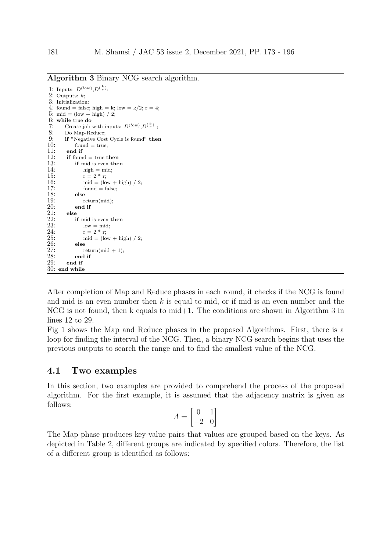|     | 1: Inputs: $D^{(low)}, D^{(\frac{k}{r})}$ ;              |
|-----|----------------------------------------------------------|
|     | 2: Outputs: $k$ ;                                        |
|     | 3: Initialization:                                       |
| 4:  | found = false; high = k; low = k/2; r = 4;               |
|     | 5: mid = $(low + high) / 2$ ;                            |
|     | $6:$ while true do                                       |
| 7:  | Create job with inputs: $D^{(low)}, D^{(\frac{k}{r})}$ : |
| 8:  | Do Map-Reduce;                                           |
| 9:  | <b>if</b> "Negative Cost Cycle is found" <b>then</b>     |
| 10: | $found = true;$                                          |
| 11: | end if                                                   |
| 12: | $\mathbf{if}$ found $=$ true then                        |
| 13: | if mid is even then                                      |
| 14: | $high = mid;$                                            |
| 15: | $r = 2 * r$ ;                                            |
| 16: | $mid = (low + high) / 2;$                                |
| 17: | $found = false$                                          |
| 18: | else                                                     |
| 19: | return (mid);                                            |
| 20: | end if                                                   |
| 21: | else                                                     |
| 22: | <b>if</b> mid is even <b>then</b>                        |
| 23: | $low = mid;$                                             |
| 24: | $r = 2 * r$ ;                                            |
| 25: | $mid = (low + high) / 2;$                                |
| 26: | else                                                     |
| 27: | $return(mid + 1);$                                       |
| 28: | end if                                                   |
| 29: | end if                                                   |
| 30: | end while                                                |

Algorithm 3 Binary NCG search algorithm.

After completion of Map and Reduce phases in each round, it checks if the NCG is found and mid is an even number then  $k$  is equal to mid, or if mid is an even number and the NCG is not found, then k equals to mid+1. The conditions are shown in Algorithm 3 in lines 12 to 29.

Fig 1 shows the Map and Reduce phases in the proposed Algorithms. First, there is a loop for finding the interval of the NCG. Then, a binary NCG search begins that uses the previous outputs to search the range and to find the smallest value of the NCG.

#### 4.1 Two examples

In this section, two examples are provided to comprehend the process of the proposed algorithm. For the first example, it is assumed that the adjacency matrix is given as follows:

$$
A = \begin{bmatrix} 0 & 1 \\ -2 & 0 \end{bmatrix}
$$

The Map phase produces key-value pairs that values are grouped based on the keys. As depicted in Table 2, different groups are indicated by specified colors. Therefore, the list of a different group is identified as follows: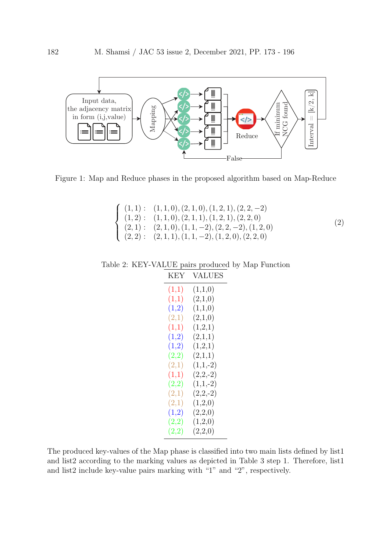

Figure 1: Map and Reduce phases in the proposed algorithm based on Map-Reduce

$$
\begin{cases}\n(1,1): \quad (1,1,0), (2,1,0), (1,2,1), (2,2,-2) \\
(1,2): \quad (1,1,0), (2,1,1), (1,2,1), (2,2,0) \\
(2,1): \quad (2,1,0), (1,1,-2), (2,2,-2), (1,2,0) \\
(2,2): \quad (2,1,1), (1,1,-2), (1,2,0), (2,2,0)\n\end{cases}
$$
\n(2)

Table 2: KEY-VALUE pairs produced by Map Function KEY VALUES

| (1,1) | (1,1,0)    |
|-------|------------|
| (1,1) | (2,1,0)    |
| (1,2) | (1,1,0)    |
| (2,1) | (2,1,0)    |
| (1,1) | (1,2,1)    |
| (1,2) | (2,1,1)    |
| (1,2) | (1,2,1)    |
| (2,2) | (2,1,1)    |
| (2,1) | $(1,1,-2)$ |
| (1,1) | $(2,2,-2)$ |
| (2,2) | $(1,1,-2)$ |
| (2,1) | $(2,2,-2)$ |
| (2,1) | (1,2,0)    |
| (1,2) | (2,2,0)    |
| (2,2) | (1,2,0)    |
| (2,2) | (2,2,0)    |
|       |            |

The produced key-values of the Map phase is classified into two main lists defined by list1 and list2 according to the marking values as depicted in Table 3 step 1. Therefore, list1 and list2 include key-value pairs marking with "1" and "2", respectively.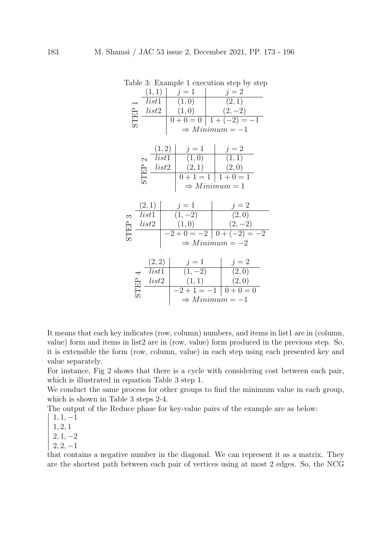|                                                                                                                                             |                                                                                                              | rable 5. Example 1 execution step by step                                     |
|---------------------------------------------------------------------------------------------------------------------------------------------|--------------------------------------------------------------------------------------------------------------|-------------------------------------------------------------------------------|
| (1,1)                                                                                                                                       | $j=1$                                                                                                        |                                                                               |
| list1                                                                                                                                       | (1,0)                                                                                                        | $\frac{j=2}{(2,1)}$                                                           |
| list2                                                                                                                                       | (1,0)                                                                                                        | $(2,-2)$                                                                      |
| <b>STEP</b>                                                                                                                                 |                                                                                                              | $0 + 0 = 0$   $1 + (-2) = -1$                                                 |
|                                                                                                                                             |                                                                                                              | $\Rightarrow$ Minimum = -1                                                    |
|                                                                                                                                             |                                                                                                              |                                                                               |
|                                                                                                                                             |                                                                                                              |                                                                               |
|                                                                                                                                             | $\begin{array}{ c c c c c }\n\hline (1,2) & j=1 & j=2 \\ \hline list1 & (1,0) & (1,1) \\ \hline \end{array}$ |                                                                               |
| $\mathcal{C}$                                                                                                                               |                                                                                                              |                                                                               |
| $\frac{\text{ln}}{\text{ln}}$ $\frac{list2}{\text{ln}}$                                                                                     | (2,1)                                                                                                        | (2,0)                                                                         |
|                                                                                                                                             |                                                                                                              | $\overline{0+1} = 1$ $\overline{1+0} = 1$                                     |
|                                                                                                                                             |                                                                                                              | $\Rightarrow$ Minimum = 1                                                     |
|                                                                                                                                             |                                                                                                              |                                                                               |
| (2,1)                                                                                                                                       |                                                                                                              |                                                                               |
| list1                                                                                                                                       | $j = 1$<br>(1, -2)                                                                                           | $j = 2$<br>(2,0)                                                              |
| $\begin{array}{ll}\n\infty & list1 \\ \frac{\triangle}{\triangle} & \frac{list2}{\square}\n\end{array}$                                     |                                                                                                              |                                                                               |
|                                                                                                                                             |                                                                                                              | $\begin{array}{c c} (1,0) & (2,-2) \\ \hline -2+0=-2 & 0+(-2)=-2 \end{array}$ |
|                                                                                                                                             |                                                                                                              | $\Rightarrow$ Minimum = -2                                                    |
|                                                                                                                                             |                                                                                                              |                                                                               |
|                                                                                                                                             |                                                                                                              |                                                                               |
| (2,2)                                                                                                                                       | $j = 1$<br>(1, -2)                                                                                           | $j = 2$<br>(2,0)                                                              |
| $\overline{list1}$                                                                                                                          |                                                                                                              |                                                                               |
|                                                                                                                                             | (1,1)                                                                                                        | (2,0)                                                                         |
| $\begin{array}{ll} \n\pi & list1 \\ \n\frac{\triangle}{\triangle} & \frac{list2}{\square} \\ \n\frac{\triangle}{\triangle} & \n\end{array}$ |                                                                                                              | $-2+1=-1$   0 + 0 = 0                                                         |
|                                                                                                                                             |                                                                                                              | $\Rightarrow$ Minimum = -1                                                    |
|                                                                                                                                             |                                                                                                              |                                                                               |

Table 3: Example 1 execution step by step

It means that each key indicates (row, column) numbers, and items in list1 are in (column, value) form and items in list2 are in (row, value) form produced in the previous step. So, it is extensible the form (row, column, value) in each step using each presented key and value separately.

For instance, Fig 2 shows that there is a cycle with considering cost between each pair, which is illustrated in equation Table 3 step 1.

We conduct the same process for other groups to find the minimum value in each group, which is shown in Table 3 steps 2-4.

The output of the Reduce phase for key-value pairs of the example are as below:  $\Big\}$ 

 $1, 1, -1$ 

1, 2, 1

 $\Big\}$  $\Big\}$  $\Big\}$  $\Big\}$  $\overline{\phantom{a}}$  $\begin{array}{c} \end{array}$ 

 $2, 1, -2$ 

 $2, 2, -1$ 

ļ that contains a negative number in the diagonal. We can represent it as a matrix. They are the shortest path between each pair of vertices using at most 2 edges. So, the NCG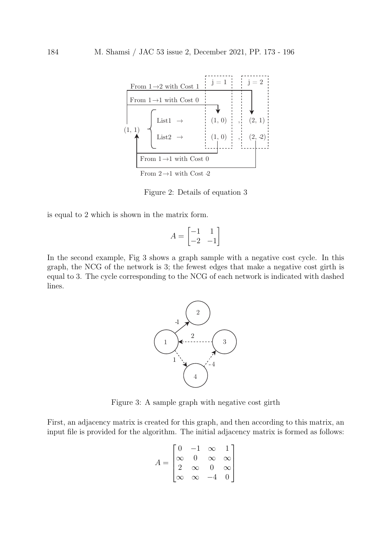

Figure 2: Details of equation  $3$ 

is equal to 2 which is shown in the matrix form.

$$
A = \begin{bmatrix} -1 & 1\\ -2 & -1 \end{bmatrix}
$$

graph, the NCG of the network is 3; the fewest edges that make a negative cost girth is In the second example, Fig 3 shows a graph sample with a negative cost cycle. In this equal to 3. The cycle corresponding to the NCG of each network is indicated with dashed lines.



Figure 3: A sample graph with negative cost girth

First, an adjacency matrix is created for this graph, and then according to this matrix, an input file is provided for the algorithm. The initial adjacency matrix is formed as follows:

$$
A = \begin{bmatrix} 0 & -1 & \infty & 1 \\ \infty & 0 & \infty & \infty \\ 2 & \infty & 0 & \infty \\ \infty & \infty & -4 & 0 \end{bmatrix}
$$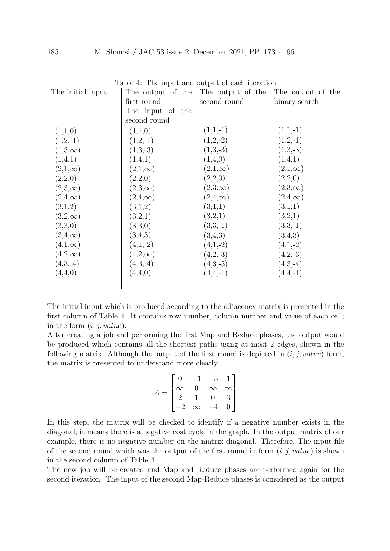| The initial input | Table +. The hiput and butput of each neration<br>The output of the | The output of the | The output of the |
|-------------------|---------------------------------------------------------------------|-------------------|-------------------|
|                   | first round                                                         | second round      | binary search     |
|                   | The input of the                                                    |                   |                   |
|                   | second round                                                        |                   |                   |
| (1,1,0)           | (1,1,0)                                                             | $(1,1,-1)$        | $(1,1,-1)$        |
| $(1,2,-1)$        | $(1,2,-1)$                                                          | $(1,2,-2)$        | $(1,2,-1)$        |
| $(1,3,\infty)$    | $(1,3,-3)$                                                          | $(1,3,-3)$        | $(1,3,-3)$        |
| (1,4,1)           | (1,4,1)                                                             | (1,4,0)           | (1,4,1)           |
| $(2,1,\infty)$    | $(2,1,\infty)$                                                      | $(2,1,\infty)$    | $(2,1,\infty)$    |
| (2,2,0)           | (2,2,0)                                                             | (2,2,0)           | (2,2,0)           |
| $(2,3,\infty)$    | $(2,3,\infty)$                                                      | $(2,3,\infty)$    | $(2,3,\infty)$    |
| $(2,4,\infty)$    | $(2,4,\infty)$                                                      | $(2,4,\infty)$    | $(2,4,\infty)$    |
| (3,1,2)           | (3,1,2)                                                             | (3,1,1)           | (3,1,1)           |
| $(3,2,\infty)$    | (3,2,1)                                                             | (3,2,1)           | (3,2,1)           |
| (3,3,0)           | (3,3,0)                                                             | $(3,3,-1)$        | $(3,3,-1)$        |
| $(3,4,\infty)$    | (3,4,3)                                                             | (3,4,3)           | (3,4,3)           |
| $(4,1,\infty)$    | $(4,1,-2)$                                                          | $(4,1,-2)$        | $(4,1,-2)$        |
| $(4,2,\infty)$    | $(4,2,\infty)$                                                      | $(4,2,-3)$        | $(4,2,-3)$        |
| $(4,3,-4)$        | $(4,3,-4)$                                                          | $(4,3,-5)$        | $(4,3,-4)$        |
| (4,4,0)           | (4,4,0)                                                             | $(4,4,-1)$        | $(4,4,-1)$        |
|                   |                                                                     |                   |                   |

Table 4: The input and output of each iteration

The initial input which is produced according to the adjacency matrix is presented in the first column of Table 4. It contains row number, column number and value of each cell; in the form  $(i, j, value)$ .

After creating a job and performing the first Map and Reduce phases, the output would be produced which contains all the shortest paths using at most 2 edges, shown in the following matrix. Although the output of the first round is depicted in  $(i, j, value)$  form, the matrix is presented to understand more clearly.

$$
A = \begin{bmatrix} 0 & -1 & -3 & 1 \\ \infty & 0 & \infty & \infty \\ 2 & 1 & 0 & 3 \\ -2 & \infty & -4 & 0 \end{bmatrix}
$$

In this step, the matrix will be checked to identify if a negative number exists in the diagonal, it means there is a negative cost cycle in the graph. In the output matrix of our example, there is no negative number on the matrix diagonal. Therefore, The input file of the second round which was the output of the first round in form  $(i, j, value)$  is shown in the second column of Table 4.

The new job will be created and Map and Reduce phases are performed again for the second iteration. The input of the second Map-Reduce phases is considered as the output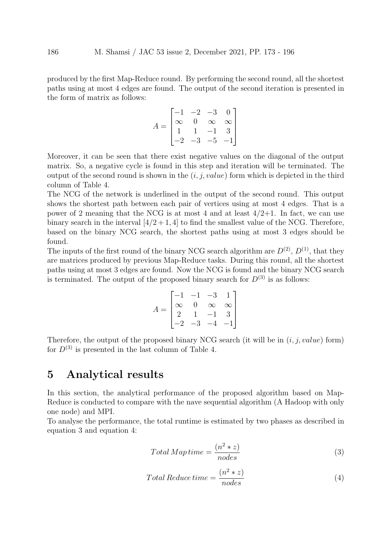produced by the first Map-Reduce round. By performing the second round, all the shortest paths using at most 4 edges are found. The output of the second iteration is presented in the form of matrix as follows:

$$
A = \begin{bmatrix} -1 & -2 & -3 & 0 \\ \infty & 0 & \infty & \infty \\ 1 & 1 & -1 & 3 \\ -2 & -3 & -5 & -1 \end{bmatrix}
$$

Moreover, it can be seen that there exist negative values on the diagonal of the output matrix. So, a negative cycle is found in this step and iteration will be terminated. The output of the second round is shown in the  $(i, j, value)$  form which is depicted in the third column of Table 4.

The NCG of the network is underlined in the output of the second round. This output shows the shortest path between each pair of vertices using at most 4 edges. That is a power of 2 meaning that the NCG is at most 4 and at least  $4/2+1$ . In fact, we can use binary search in the interval  $\left[\frac{4}{2}+1, 4\right]$  to find the smallest value of the NCG. Therefore, based on the binary NCG search, the shortest paths using at most 3 edges should be found.

The inputs of the first round of the binary NCG search algorithm are  $D^{(2)}$ ,  $D^{(1)}$ , that they are matrices produced by previous Map-Reduce tasks. During this round, all the shortest paths using at most 3 edges are found. Now the NCG is found and the binary NCG search is terminated. The output of the proposed binary search for  $D^{(3)}$  is as follows:

$$
A = \begin{bmatrix} -1 & -1 & -3 & 1 \\ \infty & 0 & \infty & \infty \\ 2 & 1 & -1 & 3 \\ -2 & -3 & -4 & -1 \end{bmatrix}
$$

Therefore, the output of the proposed binary NCG search (it will be in  $(i, j, value)$  form) for  $D^{(3)}$  is presented in the last column of Table 4.

## 5 Analytical results

In this section, the analytical performance of the proposed algorithm based on Map-Reduce is conducted to compare with the nave sequential algorithm (A Hadoop with only one node) and MPI.

To analyse the performance, the total runtime is estimated by two phases as described in equation 3 and equation 4:

$$
Total\ Map\ time = \frac{(n^2 * z)}{nodes} \tag{3}
$$

$$
Total Reduce time = \frac{(n^2 * z)}{nodes}
$$
\n(4)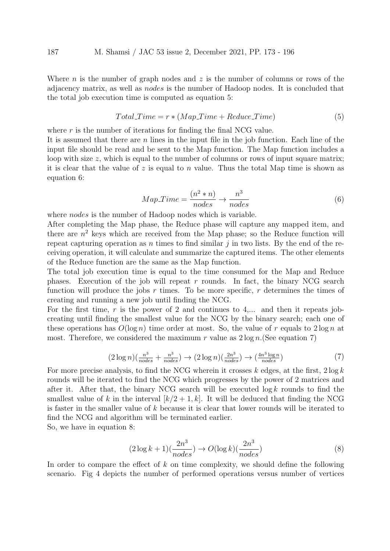Where *n* is the number of graph nodes and  $z$  is the number of columns or rows of the adjacency matrix, as well as nodes is the number of Hadoop nodes. It is concluded that the total job execution time is computed as equation 5:

$$
Total-Time = r * (Map-Time + Reduce-Time)
$$
\n(5)

where  $r$  is the number of iterations for finding the final NCG value.

It is assumed that there are  $n$  lines in the input file in the job function. Each line of the input file should be read and be sent to the Map function. The Map function includes a loop with size z, which is equal to the number of columns or rows of input square matrix; it is clear that the value of z is equal to n value. Thus the total Map time is shown as equation 6:

$$
Map-Time = \frac{(n^2 * n)}{nodes} \rightarrow \frac{n^3}{nodes} \tag{6}
$$

where *nodes* is the number of Hadoop nodes which is variable.

After completing the Map phase, the Reduce phase will capture any mapped item, and there are  $n^2$  keys which are received from the Map phase; so the Reduce function will repeat capturing operation as  $n$  times to find similar  $j$  in two lists. By the end of the receiving operation, it will calculate and summarize the captured items. The other elements of the Reduce function are the same as the Map function.

The total job execution time is equal to the time consumed for the Map and Reduce phases. Execution of the job will repeat  $r$  rounds. In fact, the binary NCG search function will produce the jobs  $r$  times. To be more specific,  $r$  determines the times of creating and running a new job until finding the NCG.

For the first time, r is the power of 2 and continues to  $4,...$  and then it repeats jobcreating until finding the smallest value for the NCG by the binary search; each one of these operations has  $O(\log n)$  time order at most. So, the value of r equals to  $2 \log n$  at most. Therefore, we considered the maximum r value as  $2 \log n$ . (See equation 7)

$$
(2 \log n)(\frac{n^3}{nodes} + \frac{n^3}{nodes}) \to (2 \log n)(\frac{2n^3}{nodes}) \to (\frac{4n^3 \log n}{nodes})
$$
 (7)

For more precise analysis, to find the NCG wherein it crosses k edges, at the first,  $2 \log k$ rounds will be iterated to find the NCG which progresses by the power of 2 matrices and after it. After that, the binary NCG search will be executed  $\log k$  rounds to find the smallest value of k in the interval  $[k/2 + 1, k]$ . It will be deduced that finding the NCG is faster in the smaller value of  $k$  because it is clear that lower rounds will be iterated to find the NCG and algorithm will be terminated earlier.

So, we have in equation 8:

$$
(2\log k + 1)\left(\frac{2n^3}{nodes}\right) \to O(\log k)\left(\frac{2n^3}{nodes}\right) \tag{8}
$$

In order to compare the effect of  $k$  on time complexity, we should define the following scenario. Fig 4 depicts the number of performed operations versus number of vertices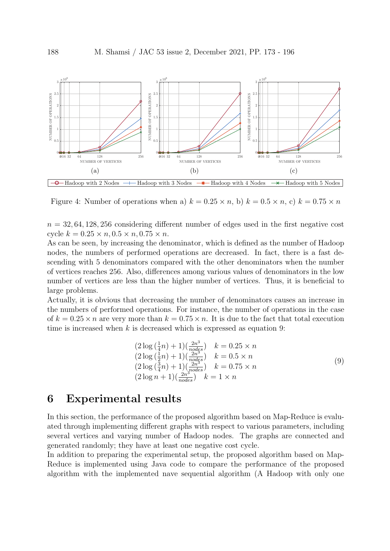

Figure 4: Number of operations when a)  $k = 0.25 \times n$ , b)  $k = 0.5 \times n$ , c)  $k = 0.75 \times n$ 

 $n = 32, 64, 128, 256$  considering different number of edges used in the first negative cost cycle  $k = 0.25 \times n, 0.5 \times n, 0.75 \times n$ .

As can be seen, by increasing the denominator, which is defined as the number of Hadoop nodes, the numbers of performed operations are decreased. In fact, there is a fast descending with 5 denominators compared with the other denominators when the number of vertices reaches 256. Also, differences among various values of denominators in the low number of vertices are less than the higher number of vertices. Thus, it is beneficial to large problems.

Actually, it is obvious that decreasing the number of denominators causes an increase in the numbers of performed operations. For instance, the number of operations in the case of  $k = 0.25 \times n$  are very more than  $k = 0.75 \times n$ . It is due to the fact that total execution time is increased when  $k$  is decreased which is expressed as equation 9:

$$
(2 \log(\frac{1}{4}n) + 1)(\frac{2n^3}{nodes}) \quad k = 0.25 \times n
$$
  
\n
$$
(2 \log(\frac{1}{2}n) + 1)(\frac{2n^3}{nodes}) \quad k = 0.5 \times n
$$
  
\n
$$
(2 \log(\frac{3}{4}n) + 1)(\frac{2n^3}{nodes}) \quad k = 0.75 \times n
$$
  
\n
$$
(2 \log n + 1)(\frac{2n^3}{nodes}) \quad k = 1 \times n
$$
  
\n(9)

## 6 Experimental results

In this section, the performance of the proposed algorithm based on Map-Reduce is evaluated through implementing different graphs with respect to various parameters, including several vertices and varying number of Hadoop nodes. The graphs are connected and generated randomly; they have at least one negative cost cycle.

In addition to preparing the experimental setup, the proposed algorithm based on Map-Reduce is implemented using Java code to compare the performance of the proposed algorithm with the implemented nave sequential algorithm (A Hadoop with only one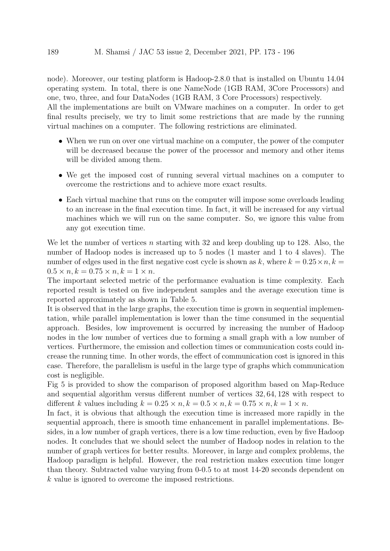node). Moreover, our testing platform is Hadoop-2.8.0 that is installed on Ubuntu 14.04 operating system. In total, there is one NameNode (1GB RAM, 3Core Processors) and one, two, three, and four DataNodes (1GB RAM, 3 Core Processors) respectively.

All the implementations are built on VMware machines on a computer. In order to get final results precisely, we try to limit some restrictions that are made by the running virtual machines on a computer. The following restrictions are eliminated.

- When we run on over one virtual machine on a computer, the power of the computer will be decreased because the power of the processor and memory and other items will be divided among them.
- We get the imposed cost of running several virtual machines on a computer to overcome the restrictions and to achieve more exact results.
- Each virtual machine that runs on the computer will impose some overloads leading to an increase in the final execution time. In fact, it will be increased for any virtual machines which we will run on the same computer. So, we ignore this value from any got execution time.

We let the number of vertices n starting with 32 and keep doubling up to 128. Also, the number of Hadoop nodes is increased up to 5 nodes (1 master and 1 to 4 slaves). The number of edges used in the first negative cost cycle is shown as k, where  $k = 0.25 \times n$ ,  $k =$  $0.5 \times n, k = 0.75 \times n, k = 1 \times n$ .

The important selected metric of the performance evaluation is time complexity. Each reported result is tested on five independent samples and the average execution time is reported approximately as shown in Table 5.

It is observed that in the large graphs, the execution time is grown in sequential implementation, while parallel implementation is lower than the time consumed in the sequential approach. Besides, low improvement is occurred by increasing the number of Hadoop nodes in the low number of vertices due to forming a small graph with a low number of vertices. Furthermore, the emission and collection times or communication costs could increase the running time. In other words, the effect of communication cost is ignored in this case. Therefore, the parallelism is useful in the large type of graphs which communication cost is negligible.

Fig 5 is provided to show the comparison of proposed algorithm based on Map-Reduce and sequential algorithm versus different number of vertices 32, 64, 128 with respect to different k values including  $k = 0.25 \times n, k = 0.5 \times n, k = 0.75 \times n, k = 1 \times n$ .

In fact, it is obvious that although the execution time is increased more rapidly in the sequential approach, there is smooth time enhancement in parallel implementations. Besides, in a low number of graph vertices, there is a low time reduction, even by five Hadoop nodes. It concludes that we should select the number of Hadoop nodes in relation to the number of graph vertices for better results. Moreover, in large and complex problems, the Hadoop paradigm is helpful. However, the real restriction makes execution time longer than theory. Subtracted value varying from 0-0.5 to at most 14-20 seconds dependent on k value is ignored to overcome the imposed restrictions.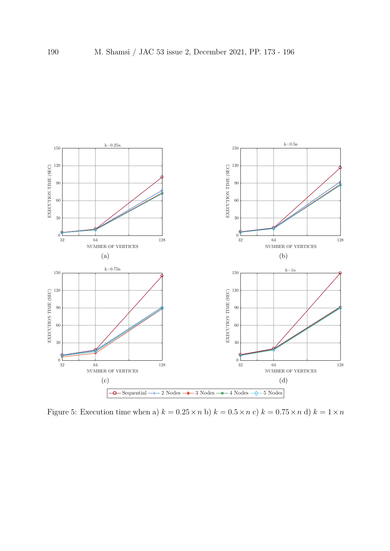

Figure 5: Execution time when a)  $k = 0.25 \times n$  b)  $k = 0.5 \times n$  c)  $k = 0.75 \times n$  d)  $k = 1 \times n$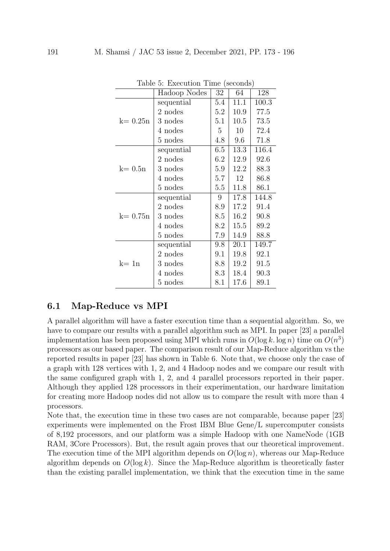| ranic<br>. .<br>$\text{LACC401011}$ The Records |              |         |      |       |  |  |
|-------------------------------------------------|--------------|---------|------|-------|--|--|
|                                                 | Hadoop Nodes | 32      | 64   | 128   |  |  |
|                                                 | sequential   | 5.4     | 11.1 | 100.3 |  |  |
|                                                 | 2 nodes      | 5.2     | 10.9 | 77.5  |  |  |
| $k=0.25n$                                       | 3 nodes      | 5.1     | 10.5 | 73.5  |  |  |
|                                                 | 4 nodes      | 5       | 10   | 72.4  |  |  |
|                                                 | 5 nodes      | 4.8     | 9.6  | 71.8  |  |  |
|                                                 | sequential   | 6.5     | 13.3 | 116.4 |  |  |
|                                                 | 2 nodes      | 6.2     | 12.9 | 92.6  |  |  |
| $k=0.5n$                                        | 3 nodes      | 5.9     | 12.2 | 88.3  |  |  |
|                                                 | 4 nodes      | 5.7     | 12   | 86.8  |  |  |
|                                                 | 5 nodes      | $5.5\,$ | 11.8 | 86.1  |  |  |
|                                                 | sequential   | 9       | 17.8 | 144.8 |  |  |
|                                                 | 2 nodes      | 8.9     | 17.2 | 91.4  |  |  |
| $k=0.75n$                                       | 3 nodes      | 8.5     | 16.2 | 90.8  |  |  |
|                                                 | 4 nodes      | 8.2     | 15.5 | 89.2  |  |  |
|                                                 | 5 nodes      | 7.9     | 14.9 | 88.8  |  |  |
|                                                 | sequential   | 9.8     | 20.1 | 149.7 |  |  |
|                                                 | 2 nodes      | 9.1     | 19.8 | 92.1  |  |  |
| $k=1n$                                          | 3 nodes      | 8.8     | 19.2 | 91.5  |  |  |
|                                                 | 4 nodes      | 8.3     | 18.4 | 90.3  |  |  |
|                                                 | 5 nodes      | 8.1     | 17.6 | 89.1  |  |  |

Table 5: Execution Time (seconds)

#### 6.1 Map-Reduce vs MPI

A parallel algorithm will have a faster execution time than a sequential algorithm. So, we have to compare our results with a parallel algorithm such as MPI. In paper [23] a parallel implementation has been proposed using MPI which runs in  $O(\log k \log n)$  time on  $O(n^3)$ processors as our based paper. The comparison result of our Map-Reduce algorithm vs the reported results in paper [23] has shown in Table 6. Note that, we choose only the case of a graph with 128 vertices with 1, 2, and 4 Hadoop nodes and we compare our result with the same configured graph with 1, 2, and 4 parallel processors reported in their paper. Although they applied 128 processors in their experimentation, our hardware limitation for creating more Hadoop nodes did not allow us to compare the result with more than 4 processors.

Note that, the execution time in these two cases are not comparable, because paper [23] experiments were implemented on the Frost IBM Blue Gene/L supercomputer consists of 8,192 processors, and our platform was a simple Hadoop with one NameNode (1GB RAM, 3Core Processors). But, the result again proves that our theoretical improvement. The execution time of the MPI algorithm depends on  $O(\log n)$ , whereas our Map-Reduce algorithm depends on  $O(\log k)$ . Since the Map-Reduce algorithm is theoretically faster than the existing parallel implementation, we think that the execution time in the same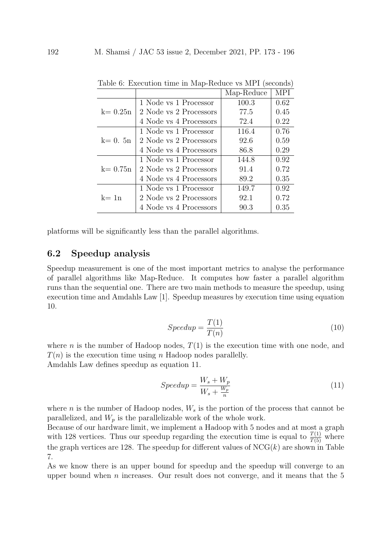|             |                        | Map-Reduce | <b>MPI</b> |
|-------------|------------------------|------------|------------|
|             | 1 Node vs 1 Processor  | 100.3      | 0.62       |
| $k=0.25n$   | 2 Node vs 2 Processors | 77.5       | 0.45       |
|             | 4 Node vs 4 Processors | 72.4       | 0.22       |
|             | 1 Node vs 1 Processor  | 116.4      | 0.76       |
| $k=0.5n$    | 2 Node vs 2 Processors | 92.6       | 0.59       |
|             | 4 Node vs 4 Processors | 86.8       | 0.29       |
|             | 1 Node vs 1 Processor  | 144.8      | 0.92       |
| $k = 0.75n$ | 2 Node vs 2 Processors | 91.4       | 0.72       |
|             | 4 Node vs 4 Processors | 89.2       | 0.35       |
|             | 1 Node vs 1 Processor  | 149.7      | 0.92       |
| $k=1n$      | 2 Node vs 2 Processors | 92.1       | 0.72       |
|             | 4 Node vs 4 Processors | 90.3       | 0.35       |

Table 6: Execution time in Map-Reduce vs MPI (seconds)

platforms will be significantly less than the parallel algorithms.

#### 6.2 Speedup analysis

Speedup measurement is one of the most important metrics to analyse the performance of parallel algorithms like Map-Reduce. It computes how faster a parallel algorithm runs than the sequential one. There are two main methods to measure the speedup, using execution time and Amdahls Law [1]. Speedup measures by execution time using equation 10.

$$
Speedup = \frac{T(1)}{T(n)}\tag{10}
$$

where n is the number of Hadoop nodes,  $T(1)$  is the execution time with one node, and  $T(n)$  is the execution time using n Hadoop nodes parallelly. Amdahls Law defines speedup as equation 11.

$$
Speedup = \frac{W_s + W_p}{W_s + \frac{W_p}{n}}
$$
\n
$$
(11)
$$

where *n* is the number of Hadoop nodes,  $W_s$  is the portion of the process that cannot be parallelized, and  $W_p$  is the parallelizable work of the whole work.

Because of our hardware limit, we implement a Hadoop with 5 nodes and at most a graph with 128 vertices. Thus our speedup regarding the execution time is equal to  $\frac{T(1)}{T(5)}$  where the graph vertices are 128. The speedup for different values of  $NCG(k)$  are shown in Table 7.

As we know there is an upper bound for speedup and the speedup will converge to an upper bound when  $n$  increases. Our result does not converge, and it means that the  $5$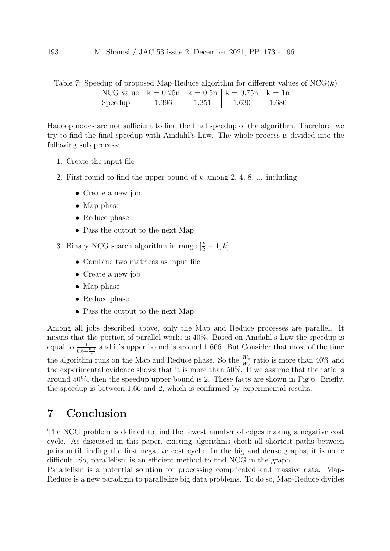|  | Table 7: Speedup of proposed Map-Reduce algorithm for different values of $NCG(k)$ |  |  |  |
|--|------------------------------------------------------------------------------------|--|--|--|
|  |                                                                                    |  |  |  |

| NCG value $  k = 0.25n   k = 0.5n   k = 0.75n   k = 1n$ |       |           |       |       |
|---------------------------------------------------------|-------|-----------|-------|-------|
| Speedup                                                 | 1.396 | $1.351\,$ | 1.630 | 1.680 |

Hadoop nodes are not sufficient to find the final speedup of the algorithm. Therefore, we try to find the final speedup with Amdahl's Law. The whole process is divided into the following sub process:

- 1. Create the input file
- 2. First round to find the upper bound of  $k$  among  $2, 4, 8, \ldots$  including
	- Create a new job
	- Map phase
	- Reduce phase
	- Pass the output to the next Map

3. Binary NCG search algorithm in range  $\left[\frac{k}{2}+1, k\right]$ 

- Combine two matrices as input file
- Create a new job
- Map phase
- Reduce phase
- Pass the output to the next Map

Among all jobs described above, only the Map and Reduce processes are parallel. It means that the portion of parallel works is 40%. Based on Amdahl's Law the speedup is equal to  $\frac{1}{0.6+\frac{0.4}{n}}$  and it's upper bound is around 1.666. But Consider that most of the time the algorithm runs on the Map and Reduce phase. So the  $\frac{W_p}{W_s}$  ratio is more than 40% and the experimental evidence shows that it is more than 50%. If we assume that the ratio is around 50%, then the speedup upper bound is 2. These facts are shown in Fig 6. Briefly, the speedup is between 1.66 and 2, which is confirmed by experimental results.

## 7 Conclusion

The NCG problem is defined to find the fewest number of edges making a negative cost cycle. As discussed in this paper, existing algorithms check all shortest paths between pairs until finding the first negative cost cycle. In the big and dense graphs, it is more difficult. So, parallelism is an efficient method to find NCG in the graph.

Parallelism is a potential solution for processing complicated and massive data. Map-Reduce is a new paradigm to parallelize big data problems. To do so, Map-Reduce divides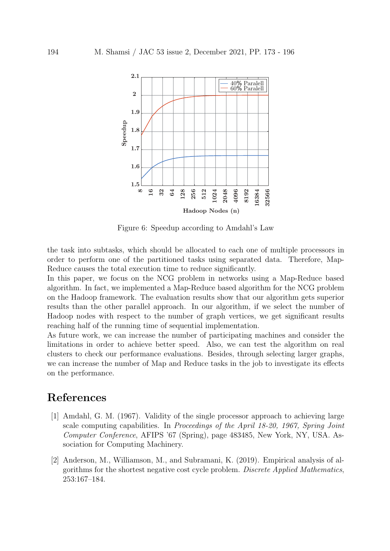

Figure 6: Speedup according to Amdahl's Law

the task into subtasks, which should be allocated to each one of multiple processors in order to perform one of the partitioned tasks using separated data. Therefore, Map-Reduce causes the total execution time to reduce significantly.

In this paper, we focus on the NCG problem in networks using a Map-Reduce based algorithm. In fact, we implemented a Map-Reduce based algorithm for the NCG problem on the Hadoop framework. The evaluation results show that our algorithm gets superior results than the other parallel approach. In our algorithm, if we select the number of Hadoop nodes with respect to the number of graph vertices, we get significant results reaching half of the running time of sequential implementation.

As future work, we can increase the number of participating machines and consider the limitations in order to achieve better speed. Also, we can test the algorithm on real clusters to check our performance evaluations. Besides, through selecting larger graphs, we can increase the number of Map and Reduce tasks in the job to investigate its effects on the performance.

## References

- [1] Amdahl, G. M. (1967). Validity of the single processor approach to achieving large scale computing capabilities. In Proceedings of the April 18-20, 1967, Spring Joint Computer Conference, AFIPS '67 (Spring), page 483485, New York, NY, USA. Association for Computing Machinery.
- [2] Anderson, M., Williamson, M., and Subramani, K. (2019). Empirical analysis of algorithms for the shortest negative cost cycle problem. Discrete Applied Mathematics, 253:167–184.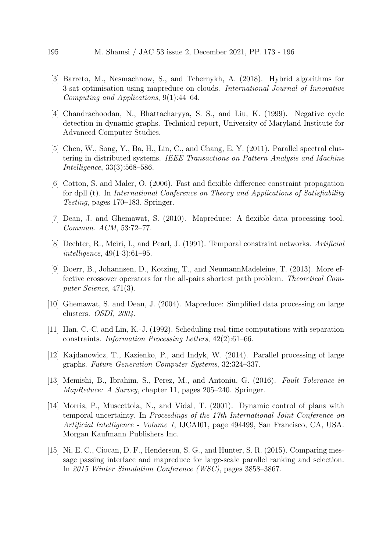- [3] Barreto, M., Nesmachnow, S., and Tchernykh, A. (2018). Hybrid algorithms for 3-sat optimisation using mapreduce on clouds. International Journal of Innovative Computing and Applications, 9(1):44–64.
- [4] Chandrachoodan, N., Bhattacharyya, S. S., and Liu, K. (1999). Negative cycle detection in dynamic graphs. Technical report, University of Maryland Institute for Advanced Computer Studies.
- [5] Chen, W., Song, Y., Ba, H., Lin, C., and Chang, E. Y. (2011). Parallel spectral clustering in distributed systems. IEEE Transactions on Pattern Analysis and Machine Intelligence, 33(3):568–586.
- [6] Cotton, S. and Maler, O. (2006). Fast and flexible difference constraint propagation for dpll (t). In International Conference on Theory and Applications of Satisfiability Testing, pages 170–183. Springer.
- [7] Dean, J. and Ghemawat, S. (2010). Mapreduce: A flexible data processing tool. Commun. ACM, 53:72–77.
- [8] Dechter, R., Meiri, I., and Pearl, J. (1991). Temporal constraint networks. Artificial intelligence, 49(1-3):61–95.
- [9] Doerr, B., Johannsen, D., Kotzing, T., and NeumannMadeleine, T. (2013). More effective crossover operators for the all-pairs shortest path problem. Theoretical Computer Science, 471(3).
- [10] Ghemawat, S. and Dean, J. (2004). Mapreduce: Simplified data processing on large clusters. OSDI, 2004.
- [11] Han, C.-C. and Lin, K.-J. (1992). Scheduling real-time computations with separation constraints. Information Processing Letters, 42(2):61–66.
- [12] Kajdanowicz, T., Kazienko, P., and Indyk, W. (2014). Parallel processing of large graphs. Future Generation Computer Systems, 32:324–337.
- [13] Memishi, B., Ibrahim, S., Perez, M., and Antoniu, G. (2016). Fault Tolerance in MapReduce: A Survey, chapter 11, pages 205–240. Springer.
- [14] Morris, P., Muscettola, N., and Vidal, T. (2001). Dynamic control of plans with temporal uncertainty. In Proceedings of the 17th International Joint Conference on Artificial Intelligence - Volume 1, IJCAI01, page 494499, San Francisco, CA, USA. Morgan Kaufmann Publishers Inc.
- [15] Ni, E. C., Ciocan, D. F., Henderson, S. G., and Hunter, S. R. (2015). Comparing message passing interface and mapreduce for large-scale parallel ranking and selection. In 2015 Winter Simulation Conference (WSC), pages 3858–3867.